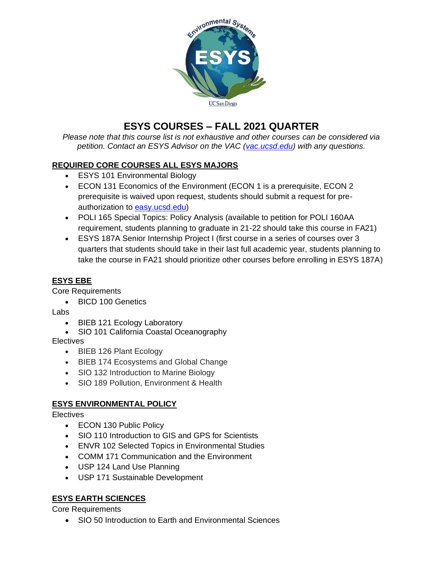

# **ESYS COURSES – FALL 2021 QUARTER**

*Please note that this course list is not exhaustive and other courses can be considered via petition. Contact an ESYS Advisor on the VAC [\(vac.ucsd.edu\)](http://vac.ucsd.edu/) with any questions.* 

## **REQUIRED CORE COURSES ALL ESYS MAJORS**

- ESYS 101 Environmental Biology
- ECON 131 Economics of the Environment (ECON 1 is a prerequisite, ECON 2 prerequisite is waived upon request, students should submit a request for preauthorization to [easy.ucsd.edu\)](http://easy.ucsd.edu/)
- POLI 165 Special Topics: Policy Analysis (available to petition for POLI 160AA requirement, students planning to graduate in 21-22 should take this course in FA21)
- ESYS 187A Senior Internship Project I (first course in a series of courses over 3 quarters that students should take in their last full academic year, students planning to take the course in FA21 should prioritize other courses before enrolling in ESYS 187A)

## **ESYS EBE**

Core Requirements

• BICD 100 Genetics

Labs

- BIEB 121 Ecology Laboratory
- SIO 101 California Coastal Oceanography

**Electives** 

- BIEB 126 Plant Ecology
- BIEB 174 Ecosystems and Global Change
- SIO 132 Introduction to Marine Biology
- SIO 189 Pollution, Environment & Health

## **ESYS ENVIRONMENTAL POLICY**

**Electives** 

- ECON 130 Public Policy
- SIO 110 Introduction to GIS and GPS for Scientists
- ENVR 102 Selected Topics in Environmental Studies
- COMM 171 Communication and the Environment
- USP 124 Land Use Planning
- USP 171 Sustainable Development

## **ESYS EARTH SCIENCES**

Core Requirements

• SIO 50 Introduction to Earth and Environmental Sciences